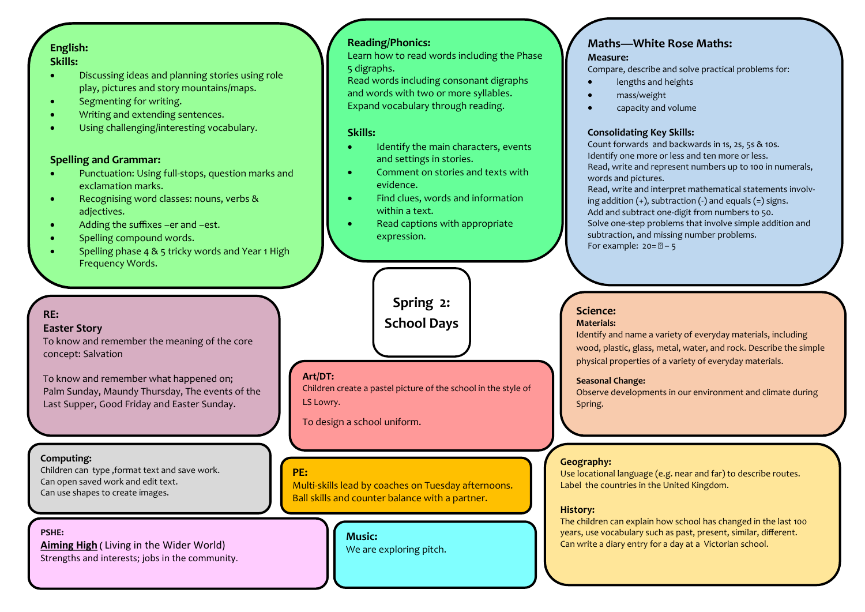# **English:**

#### **Skills:**

- Discussing ideas and planning stories using role play, pictures and story mountains/maps.
- Segmenting for writing.
- Writing and extending sentences.
- Using challenging/interesting vocabulary.

#### **Spelling and Grammar:**

- Punctuation: Using full-stops, question marks and exclamation marks.
- **•** Recognising word classes: nouns, verbs & adjectives.
- Adding the suffixes –er and –est.
- Spelling compound words.
- Spelling phase 4 & 5 tricky words and Year 1 High Frequency Words.

#### **RE:**

#### **Easter Story**

To know and remember the meaning of the core concept: Salvation

To know and remember what happened on; Palm Sunday, Maundy Thursday, The events of the Last Supper, Good Friday and Easter Sunday.

#### **Computing:**

Children can type ,format text and save work. Can open saved work and edit text. Can use shapes to create images.

#### **PSHE: [Aiming High](https://www.twinkl.co.uk/resources/pshce-twinkl-life/ks1-pshe-scheme-of-work-pshe-citizenship-and-relationships-education-twinkl-life/aiming-high-year-1-pshe-and-citizenship-twinkl-life) (** Living in the Wider World)

Strengths and interests; jobs in the community.

#### **Reading/Phonics:**

Learn how to read words including the Phase 5 digraphs.

Read words including consonant digraphs and words with two or more syllables. Expand vocabulary through reading.

#### **Skills:**

- Identify the main characters, events and settings in stories.
- Comment on stories and texts with evidence.
- Find clues, words and information within a text.
- Read captions with appropriate expression.

# **Spring 2:**

# **School Days**

#### **Art/DT:**

Children create a pastel picture of the school in the style of LS Lowry.

To design a school uniform.

#### **PE:**

Multi-skills lead by coaches on Tuesday afternoons. Ball skills and counter balance with a partner.

> **Music:** We are exploring pitch.

# **Maths—White Rose Maths:**

#### **Measure:**

Compare, describe and solve practical problems for:

- lengths and heights
- mass/weight
- capacity and volume

#### **Consolidating Key Skills:**

Count forwards and backwards in 1s, 2s, 5s & 10s. Identify one more or less and ten more or less. Read, write and represent numbers up to 100 in numerals, words and pictures.

Read, write and interpret mathematical statements involving addition  $(+)$ , subtraction  $(-)$  and equals  $(=)$  signs. Add and subtract one-digit from numbers to 50. Solve one-step problems that involve simple addition and subtraction, and missing number problems. For example:  $20 = \mathbb{Z} - 5$ 

### **Science:**

#### **Materials:**

Identify and name a variety of everyday materials, including wood, plastic, glass, metal, water, and rock. Describe the simple physical properties of a variety of everyday materials.

#### **Seasonal Change:**

Observe developments in our environment and climate during Spring.

#### **Geography:**

Use locational language (e.g. near and far) to describe routes. Label the countries in the United Kingdom.

#### **History:**

The children can explain how school has changed in the last 100 years, use vocabulary such as past, present, similar, different. Can write a diary entry for a day at a Victorian school.